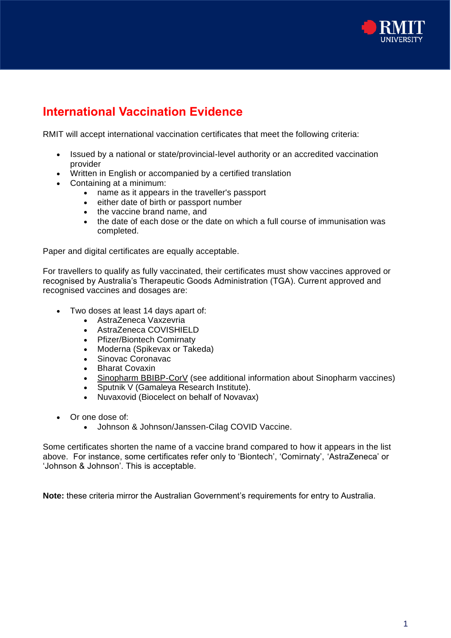

## **International Vaccination Evidence**

RMIT will accept international vaccination certificates that meet the following criteria:

- Issued by a national or state/provincial-level authority or an accredited vaccination provider
- Written in English or accompanied by a certified translation
- Containing at a minimum:
	- name as it appears in the traveller's passport
	- either date of birth or passport number
	- the vaccine brand name, and
	- the date of each dose or the date on which a full course of immunisation was completed.

Paper and digital certificates are equally acceptable.

For travellers to qualify as fully vaccinated, their certificates must show vaccines approved or recognised by Australia's Therapeutic Goods Administration (TGA). Current approved and recognised vaccines and dosages are:

- Two doses at least 14 days apart of:
	- AstraZeneca Vaxzevria
	- AstraZeneca COVISHIELD
	- Pfizer/Biontech Comirnaty
	- Moderna (Spikevax or Takeda)
	- Sinovac Coronavac
	- Bharat Covaxin
	- Sinopharm BBIBP-CorV (see additional information about Sinopharm vaccines)
	- Sputnik V (Gamaleya Research Institute).
	- Nuvaxovid (Biocelect on behalf of Novavax)
- Or one dose of:
	- Johnson & Johnson/Janssen-Cilag COVID Vaccine.

Some certificates shorten the name of a vaccine brand compared to how it appears in the list above. For instance, some certificates refer only to 'Biontech', 'Comirnaty', 'AstraZeneca' or 'Johnson & Johnson'. This is acceptable.

**Note:** these criteria mirror the Australian Government's requirements for entry to Australia.